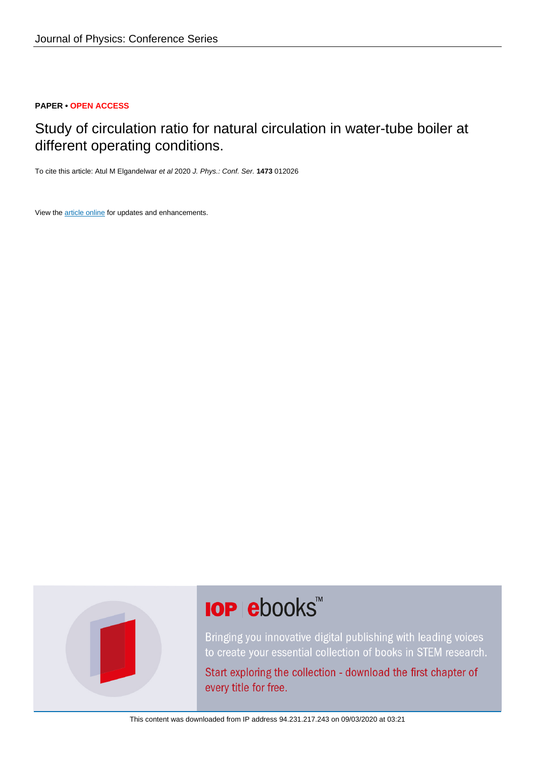## **PAPER • OPEN ACCESS**

# Study of circulation ratio for natural circulation in water-tube boiler at different operating conditions.

To cite this article: Atul M Elgandelwar et al 2020 J. Phys.: Conf. Ser. **1473** 012026

View the [article online](https://doi.org/10.1088/1742-6596/1473/1/012026) for updates and enhancements.



# **IOP ebooks**™

Bringing you innovative digital publishing with leading voices to create your essential collection of books in STEM research.

Start exploring the collection - download the first chapter of every title for free.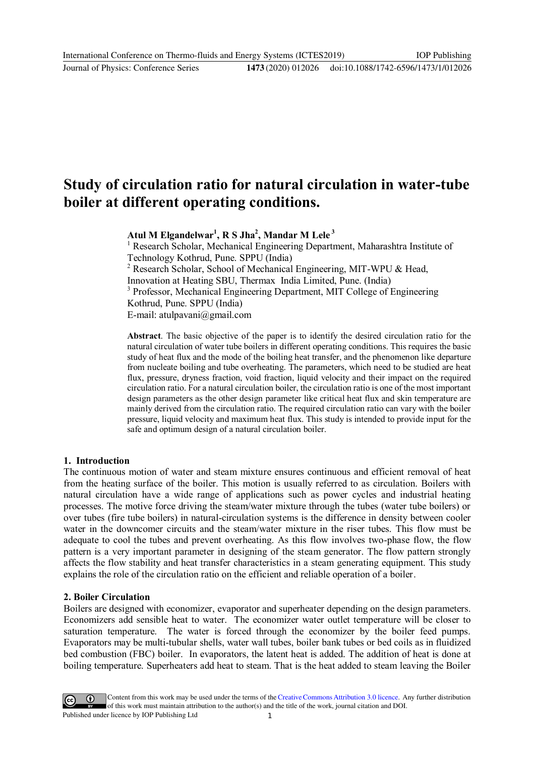# **Study of circulation ratio for natural circulation in water-tube boiler at different operating conditions.**

**Atul M Elgandelwar<sup>1</sup> , R S Jha<sup>2</sup> , Mandar M Lele <sup>3</sup>**

<sup>1</sup> Research Scholar, Mechanical Engineering Department, Maharashtra Institute of Technology Kothrud, Pune. SPPU (India)

<sup>2</sup> Research Scholar, School of Mechanical Engineering, MIT-WPU & Head,

Innovation at Heating SBU, Thermax India Limited, Pune. (India)

<sup>3</sup> Professor, Mechanical Engineering Department, MIT College of Engineering Kothrud, Pune. SPPU (India)

E-mail: atulpavani@gmail.com

**Abstract**. The basic objective of the paper is to identify the desired circulation ratio for the natural circulation of water tube boilers in different operating conditions. This requires the basic study of heat flux and the mode of the boiling heat transfer, and the phenomenon like departure from nucleate boiling and tube overheating. The parameters, which need to be studied are heat flux, pressure, dryness fraction, void fraction, liquid velocity and their impact on the required circulation ratio. For a natural circulation boiler, the circulation ratio is one of the most important design parameters as the other design parameter like critical heat flux and skin temperature are mainly derived from the circulation ratio. The required circulation ratio can vary with the boiler pressure, liquid velocity and maximum heat flux. This study is intended to provide input for the safe and optimum design of a natural circulation boiler.

#### **1. Introduction**

The continuous motion of water and steam mixture ensures continuous and efficient removal of heat from the heating surface of the boiler. This motion is usually referred to as circulation. Boilers with natural circulation have a wide range of applications such as power cycles and industrial heating processes. The motive force driving the steam/water mixture through the tubes (water tube boilers) or over tubes (fire tube boilers) in natural-circulation systems is the difference in density between cooler water in the downcomer circuits and the steam/water mixture in the riser tubes. This flow must be adequate to cool the tubes and prevent overheating. As this flow involves two-phase flow, the flow pattern is a very important parameter in designing of the steam generator. The flow pattern strongly affects the flow stability and heat transfer characteristics in a steam generating equipment. This study explains the role of the circulation ratio on the efficient and reliable operation of a boiler.

#### **2. Boiler Circulation**

Boilers are designed with economizer, evaporator and superheater depending on the design parameters. Economizers add sensible heat to water. The economizer water outlet temperature will be closer to saturation temperature. The water is forced through the economizer by the boiler feed pumps. Evaporators may be multi-tubular shells, water wall tubes, boiler bank tubes or bed coils as in fluidized bed combustion (FBC) boiler. In evaporators, the latent heat is added. The addition of heat is done at boiling temperature. Superheaters add heat to steam. That is the heat added to steam leaving the Boiler

Content from this work may be used under the terms of the Creative Commons Attribution 3.0 licence. Any further distribution of this work must maintain attribution to the author(s) and the title of the work, journal citation and DOI. Published under licence by IOP Publishing Ltd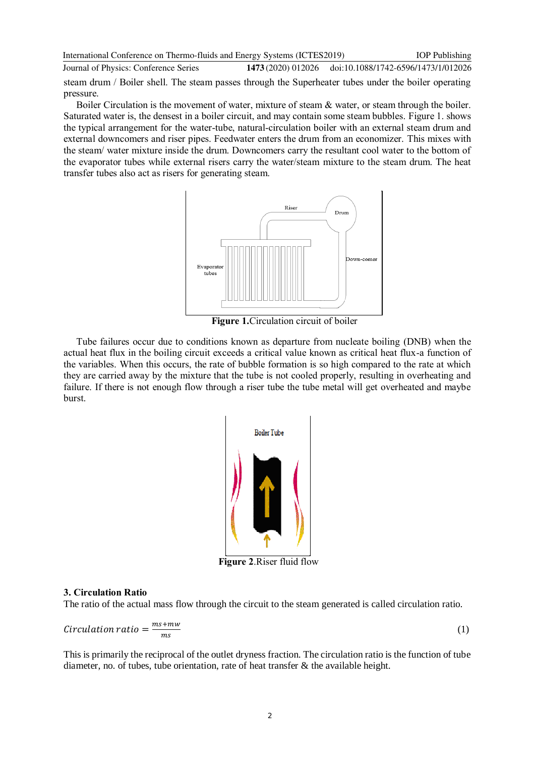International Conference on Thermo-fluids and Energy Systems (ICTES2019) Journal of Physics: Conference Series **1473** (2020) 012026 IOP Publishing doi:10.1088/1742-6596/1473/1/012026 steam drum / Boiler shell. The steam passes through the Superheater tubes under the boiler operating pressure.

Boiler Circulation is the movement of water, mixture of steam & water, or steam through the boiler. Saturated water is, the densest in a boiler circuit, and may contain some steam bubbles. Figure 1. shows the typical arrangement for the water-tube, natural-circulation boiler with an external steam drum and external downcomers and riser pipes. Feedwater enters the drum from an economizer. This mixes with the steam/ water mixture inside the drum. Downcomers carry the resultant cool water to the bottom of the evaporator tubes while external risers carry the water/steam mixture to the steam drum. The heat transfer tubes also act as risers for generating steam.



 **Figure 1.**Circulation circuit of boiler

Tube failures occur due to conditions known as departure from nucleate boiling (DNB) when the actual heat flux in the boiling circuit exceeds a critical value known as critical heat flux-a function of the variables. When this occurs, the rate of bubble formation is so high compared to the rate at which they are carried away by the mixture that the tube is not cooled properly, resulting in overheating and failure. If there is not enough flow through a riser tube the tube metal will get overheated and maybe burst.



**Figure 2**.Riser fluid flow

# **3. Circulation Ratio**

The ratio of the actual mass flow through the circuit to the steam generated is called circulation ratio.

$$
Circulation ratio = \frac{ms + mw}{ms}
$$
 (1)

This is primarily the reciprocal of the outlet dryness fraction. The circulation ratio is the function of tube diameter, no. of tubes, tube orientation, rate of heat transfer  $\&$  the available height.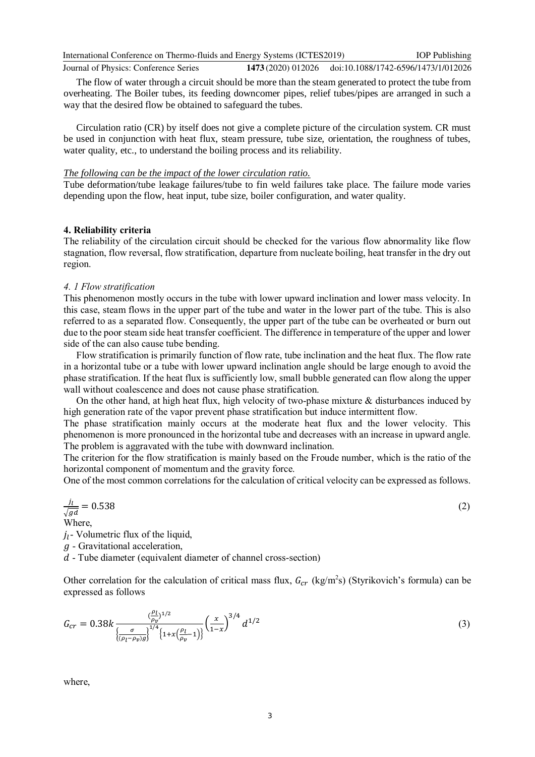IOP Publishing

Journal of Physics: Conference Series **1473** (2020) 012026 doi:10.1088/1742-6596/1473/1/012026

The flow of water through a circuit should be more than the steam generated to protect the tube from overheating. The Boiler tubes, its feeding downcomer pipes, relief tubes/pipes are arranged in such a way that the desired flow be obtained to safeguard the tubes.

Circulation ratio (CR) by itself does not give a complete picture of the circulation system. CR must be used in conjunction with heat flux, steam pressure, tube size, orientation, the roughness of tubes, water quality, etc., to understand the boiling process and its reliability.

#### *The following can be the impact of the lower circulation ratio.*

Tube deformation/tube leakage failures/tube to fin weld failures take place. The failure mode varies depending upon the flow, heat input, tube size, boiler configuration, and water quality.

#### **4. Reliability criteria**

The reliability of the circulation circuit should be checked for the various flow abnormality like flow stagnation, flow reversal, flow stratification, departure from nucleate boiling, heat transfer in the dry out region.

#### *4. 1 Flow stratification*

This phenomenon mostly occurs in the tube with lower upward inclination and lower mass velocity. In this case, steam flows in the upper part of the tube and water in the lower part of the tube. This is also referred to as a separated flow. Consequently, the upper part of the tube can be overheated or burn out due to the poor steam side heat transfer coefficient. The difference in temperature of the upper and lower side of the can also cause tube bending.

Flow stratification is primarily function of flow rate, tube inclination and the heat flux. The flow rate in a horizontal tube or a tube with lower upward inclination angle should be large enough to avoid the phase stratification. If the heat flux is sufficiently low, small bubble generated can flow along the upper wall without coalescence and does not cause phase stratification.

On the other hand, at high heat flux, high velocity of two-phase mixture  $\&$  disturbances induced by high generation rate of the vapor prevent phase stratification but induce intermittent flow.

The phase stratification mainly occurs at the moderate heat flux and the lower velocity. This phenomenon is more pronounced in the horizontal tube and decreases with an increase in upward angle. The problem is aggravated with the tube with downward inclination.

The criterion for the flow stratification is mainly based on the Froude number, which is the ratio of the horizontal component of momentum and the gravity force.

One of the most common correlations for the calculation of critical velocity can be expressed as follows.

$$
\frac{j_l}{\sqrt{gd}} = 0.538\tag{2}
$$

Where,

 $j_l$ - Volumetric flux of the liquid,

 $g$  - Gravitational acceleration,

 $d$  - Tube diameter (equivalent diameter of channel cross-section)

Other correlation for the calculation of critical mass flux,  $G_{cr}$  (kg/m<sup>2</sup>s) (Styrikovich's formula) can be expressed as follows

$$
G_{cr} = 0.38k \frac{\left(\frac{\rho_l}{\rho_v}\right)^{1/2}}{\left\{\frac{\sigma}{(\rho_l - \rho_v)g}\right\}^{1/4} \left\{1 + x\left(\frac{\rho_l}{\rho_v} - 1\right)\right\}} \left(\frac{x}{1 - x}\right)^{3/4} d^{1/2}
$$
\n(3)

where,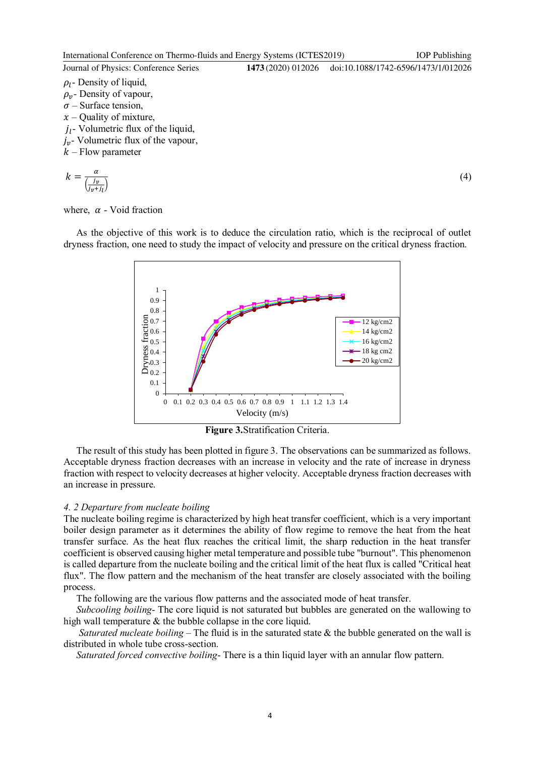IOP Publishing

Journal of Physics: Conference Series **1473** (2020) 012026 doi:10.1088/1742-6596/1473/1/012026

 $\rho_l$ - Density of liquid,  $\rho_{\nu}$ - Density of vapour,  $\sigma$  – Surface tension.  $x$  – Quality of mixture,  $j_l$ - Volumetric flux of the liquid,  $j_{v}$ - Volumetric flux of the vapour,  $k$  – Flow parameter

$$
k = \frac{\alpha}{\left(\frac{j_v}{j_v + j_l}\right)}\tag{4}
$$

where,  $\alpha$  - Void fraction

As the objective of this work is to deduce the circulation ratio, which is the reciprocal of outlet dryness fraction, one need to study the impact of velocity and pressure on the critical dryness fraction.



**Figure 3.**Stratification Criteria.

The result of this study has been plotted in figure 3. The observations can be summarized as follows. Acceptable dryness fraction decreases with an increase in velocity and the rate of increase in dryness fraction with respect to velocity decreases at higher velocity. Acceptable dryness fraction decreases with an increase in pressure.

#### *4. 2 Departure from nucleate boiling*

The nucleate boiling regime is characterized by high heat transfer coefficient, which is a very important boiler design parameter as it determines the ability of flow regime to remove the heat from the heat transfer surface. As the heat flux reaches the critical limit, the sharp reduction in the heat transfer coefficient is observed causing higher metal temperature and possible tube "burnout". This phenomenon is called departure from the nucleate boiling and the critical limit of the heat flux is called "Critical heat flux". The flow pattern and the mechanism of the heat transfer are closely associated with the boiling process.

The following are the various flow patterns and the associated mode of heat transfer.

*Subcooling boiling*- The core liquid is not saturated but bubbles are generated on the wallowing to high wall temperature  $\&$  the bubble collapse in the core liquid.

*Saturated nucleate boiling* – The fluid is in the saturated state & the bubble generated on the wall is distributed in whole tube cross-section.

*Saturated forced convective boiling*- There is a thin liquid layer with an annular flow pattern.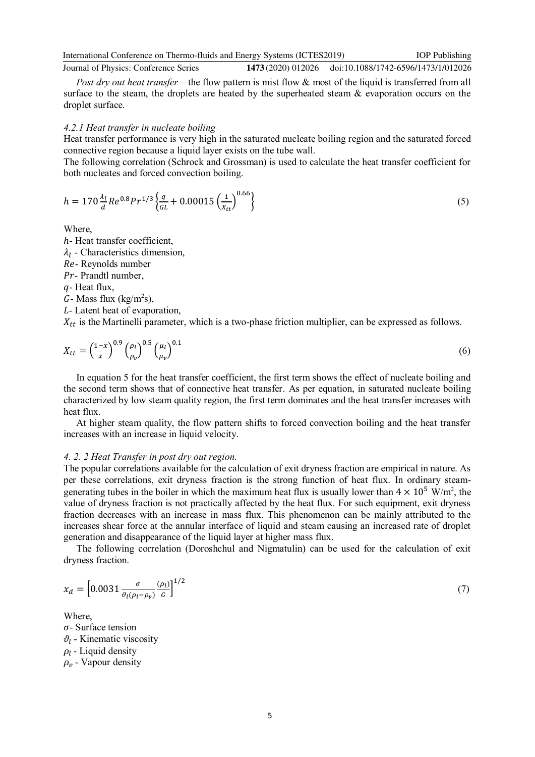Journal of Physics: Conference Series **1473** (2020) 012026 doi:10.1088/1742-6596/1473/1/012026

*Post dry out heat transfer* – the flow pattern is mist flow & most of the liquid is transferred from all surface to the steam, the droplets are heated by the superheated steam  $\&$  evaporation occurs on the droplet surface.

#### *4.2.1 Heat transfer in nucleate boiling*

Heat transfer performance is very high in the saturated nucleate boiling region and the saturated forced connective region because a liquid layer exists on the tube wall.

The following correlation (Schrock and Grossman) is used to calculate the heat transfer coefficient for both nucleates and forced convection boiling.

$$
h = 170 \frac{\lambda_l}{d} Re^{0.8} Pr^{1/3} \left\{ \frac{q}{GL} + 0.00015 \left( \frac{1}{X_{tt}} \right)^{0.66} \right\}
$$
 (5)

Where,

ℎ- Heat transfer coefficient,

 $\lambda_l$  - Characteristics dimension,

Re- Reynolds number

Pr- Prandtl number,

 $q$ - Heat flux,

 $G$ - Mass flux (kg/m<sup>2</sup>s),

- Latent heat of evaporation,

 $X_{tt}$  is the Martinelli parameter, which is a two-phase friction multiplier, can be expressed as follows.

$$
X_{tt} = \left(\frac{1-x}{x}\right)^{0.9} \left(\frac{\rho_l}{\rho_v}\right)^{0.5} \left(\frac{\mu_l}{\mu_v}\right)^{0.1} \tag{6}
$$

In equation 5 for the heat transfer coefficient, the first term shows the effect of nucleate boiling and the second term shows that of connective heat transfer. As per equation, in saturated nucleate boiling characterized by low steam quality region, the first term dominates and the heat transfer increases with heat flux.

At higher steam quality, the flow pattern shifts to forced convection boiling and the heat transfer increases with an increase in liquid velocity.

#### *4. 2. 2 Heat Transfer in post dry out region.*

The popular correlations available for the calculation of exit dryness fraction are empirical in nature. As per these correlations, exit dryness fraction is the strong function of heat flux. In ordinary steamgenerating tubes in the boiler in which the maximum heat flux is usually lower than  $4 \times 10^5$  W/m<sup>2</sup>, the value of dryness fraction is not practically affected by the heat flux. For such equipment, exit dryness fraction decreases with an increase in mass flux. This phenomenon can be mainly attributed to the increases shear force at the annular interface of liquid and steam causing an increased rate of droplet generation and disappearance of the liquid layer at higher mass flux.

The following correlation (Doroshchul and Nigmatulin) can be used for the calculation of exit dryness fraction.

$$
x_d = \left[0.0031 \frac{\sigma}{\vartheta_l(\rho_l - \rho_v)} \frac{(\rho_l)}{G} \right]^{1/2} \tag{7}
$$

Where,  $\sigma$ - Surface tension  $\vartheta_l$  - Kinematic viscosity  $\rho_l$  - Liquid density  $\rho_{\nu}$  - Vapour density

IOP Publishing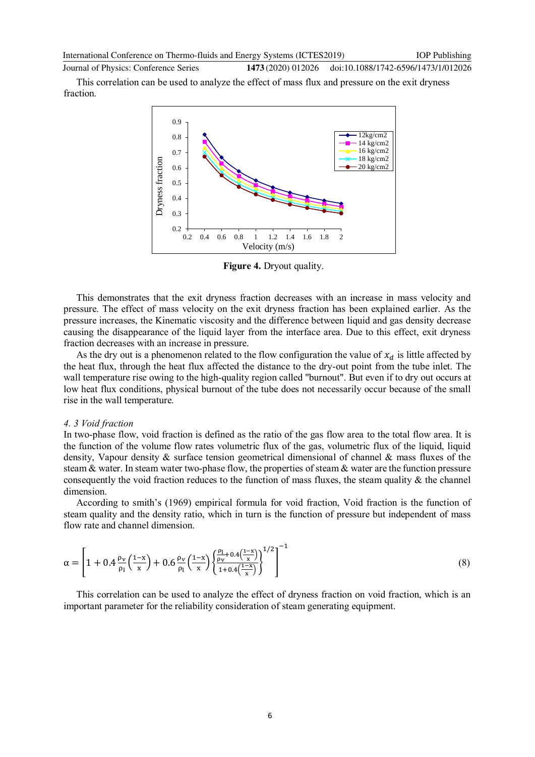Journal of Physics: Conference Series **1473** (2020) 012026 doi:10.1088/1742-6596/1473/1/012026

This correlation can be used to analyze the effect of mass flux and pressure on the exit dryness fraction.



**Figure 4.** Dryout quality.

This demonstrates that the exit dryness fraction decreases with an increase in mass velocity and pressure. The effect of mass velocity on the exit dryness fraction has been explained earlier. As the pressure increases, the Kinematic viscosity and the difference between liquid and gas density decrease causing the disappearance of the liquid layer from the interface area. Due to this effect, exit dryness fraction decreases with an increase in pressure.

As the dry out is a phenomenon related to the flow configuration the value of  $x_d$  is little affected by the heat flux, through the heat flux affected the distance to the dry-out point from the tube inlet. The wall temperature rise owing to the high-quality region called "burnout". But even if to dry out occurs at low heat flux conditions, physical burnout of the tube does not necessarily occur because of the small rise in the wall temperature.

#### *4. 3 Void fraction*

In two-phase flow, void fraction is defined as the ratio of the gas flow area to the total flow area. It is the function of the volume flow rates volumetric flux of the gas, volumetric flux of the liquid, liquid density, Vapour density & surface tension geometrical dimensional of channel & mass fluxes of the steam & water. In steam water two-phase flow, the properties of steam & water are the function pressure consequently the void fraction reduces to the function of mass fluxes, the steam quality  $\&$  the channel dimension.

According to smith's (1969) empirical formula for void fraction, Void fraction is the function of steam quality and the density ratio, which in turn is the function of pressure but independent of mass flow rate and channel dimension.

$$
\alpha = \left[1 + 0.4\frac{\rho_v}{\rho_l}\left(\frac{1-x}{x}\right) + 0.6\frac{\rho_v}{\rho_l}\left(\frac{1-x}{x}\right)\left\{\frac{\rho_l}{\rho_v} + 0.4\left(\frac{1-x}{x}\right)}{\frac{1}{1} + 0.4\left(\frac{1-x}{x}\right)}\right\}^{1/2}\right]^{-1} \tag{8}
$$

This correlation can be used to analyze the effect of dryness fraction on void fraction, which is an important parameter for the reliability consideration of steam generating equipment.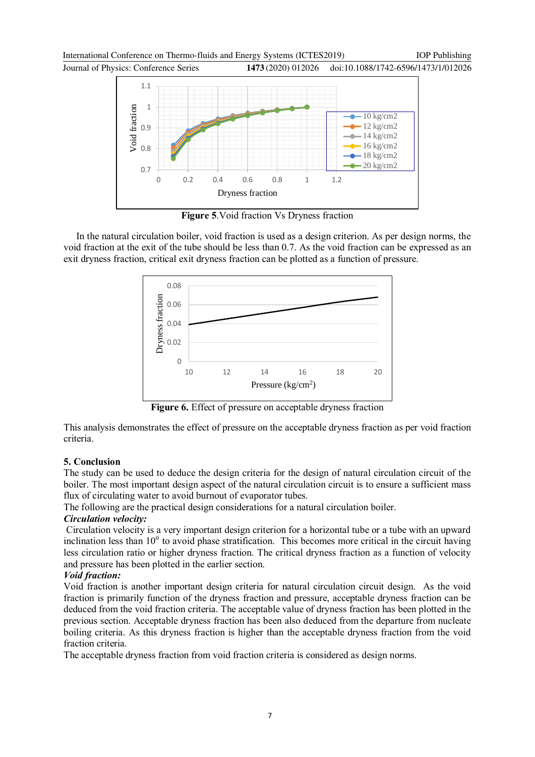Journal of Physics: Conference Series **1473** (2020) 012026

doi:10.1088/1742-6596/1473/1/012026



**Figure 5**.Void fraction Vs Dryness fraction

In the natural circulation boiler, void fraction is used as a design criterion. As per design norms, the void fraction at the exit of the tube should be less than 0.7. As the void fraction can be expressed as an exit dryness fraction, critical exit dryness fraction can be plotted as a function of pressure.



**Figure 6.** Effect of pressure on acceptable dryness fraction

This analysis demonstrates the effect of pressure on the acceptable dryness fraction as per void fraction criteria.

# **5. Conclusion**

The study can be used to deduce the design criteria for the design of natural circulation circuit of the boiler. The most important design aspect of the natural circulation circuit is to ensure a sufficient mass flux of circulating water to avoid burnout of evaporator tubes.

The following are the practical design considerations for a natural circulation boiler.

# *Circulation velocity:*

Circulation velocity is a very important design criterion for a horizontal tube or a tube with an upward inclination less than  $10^{\circ}$  to avoid phase stratification. This becomes more critical in the circuit having less circulation ratio or higher dryness fraction. The critical dryness fraction as a function of velocity and pressure has been plotted in the earlier section.

# *Void fraction:*

Void fraction is another important design criteria for natural circulation circuit design. As the void fraction is primarily function of the dryness fraction and pressure, acceptable dryness fraction can be deduced from the void fraction criteria. The acceptable value of dryness fraction has been plotted in the previous section. Acceptable dryness fraction has been also deduced from the departure from nucleate boiling criteria. As this dryness fraction is higher than the acceptable dryness fraction from the void fraction criteria.

The acceptable dryness fraction from void fraction criteria is considered as design norms.